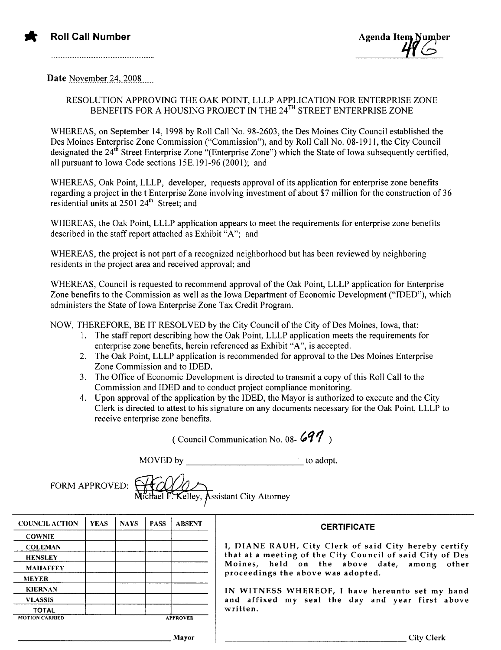

Date November 24, 2008

## RESOLUTION APPROVING THE OAK POINT, LLLP APPLICATION FOR ENTERPRISE ZONE BENEFITS FOR A HOUSING PROJECT IN THE 24<sup>TH</sup> STREET ENTERPRISE ZONE

WHEREAS, on September 14, 1998 by Roll Call No. 98-2603, the Des Moines City Council established the Des Moines Enterprise Zone Commission ("Commission"), and by Roll Call No. 08-1911, the City Council designated the 24<sup>th</sup> Street Enterprise Zone "(Enterprise Zone") which the State of Iowa subsequently certified, all pursuant to Iowa Code sections 15E.191-96 (2001): and

WHEREAS, Oak Point, LLLP, developer, requests approval of its application for enterprise zone benefits regarding a project in the t Enterprise Zone involving investment of about \$7 million for the construction of 36 residential units at 2501 24<sup>th</sup> Street: and

WHEREAS, the Oak Point, LLLP application appears to meet the requirements for enterprise zone benefits described in the staff report attached as Exhibit "A"; and

WHEREAS, the project is not part of a recognized neighborhood but has been reviewed by neighboring residents in the project area and received approval; and

WHEREAS, Council is requested to recommend approval of the Oak Point, LLLP application for Enterprise Zone benefits to the Commission as well as the Iowa Department of Economic Development ("IDEO"), which administers the State of Iowa Enterprise Zone Tax Credit Program.

NOW, THEREFORE, BE IT RESOLVED by the City Council of the City of Des Moines, Iowa, that:

- 1. The staff report describing how the Oak Point, LLLP application meets the requirements for enterprise zone benefits, herein referenced as Exhibit "A", is accepted.
- 2. The Oak Point, LLLP application is recommended for approval to the Des Moines Enterprise Zone Commission and to IDED.
- 3. The Office of Economic Development is directed to transmit a copy ofthis Roll Call to the Commission and IDED and to conduct project compliance monitoring.
- 4. Upon approval of the application by the IDED, the Mayor is authorized to execute and the City Clerk is directed to attest to his signature on any documents necessary for the Oak Point, LLLP to receive enterprise zone benefits.

(Council Communication No. 08-  $697$ )

MOVED by to adopt.

FORM APPROVED:

**Assistant City Attorney** 

| <b>COUNCIL ACTION</b> | <b>YEAS</b> | <b>NAYS</b>     | <b>PASS</b> | <b>ABSENT</b> |
|-----------------------|-------------|-----------------|-------------|---------------|
| <b>COWNIE</b>         |             |                 |             |               |
| <b>COLEMAN</b>        |             |                 |             |               |
| <b>HENSLEY</b>        |             |                 |             |               |
| <b>MAHAFFEY</b>       |             |                 |             |               |
| <b>MEYER</b>          |             |                 |             |               |
| <b>KIERNAN</b>        |             |                 |             |               |
| <b>VLASSIS</b>        |             |                 |             |               |
| TOTAL                 |             |                 |             |               |
| <b>MOTION CARRIED</b> |             | <b>APPROVED</b> |             |               |

## **CERTIFICATE**

I, DIANE RAUH, City Clerk of said City hereby certify that at a meeting of the City Council of said City of Des Moines, held on the above date, among other proceedings the above was adopted.

IN WITNESS WHEREOF, I have hereunto set my hand and affixed my seal the day and year first above written.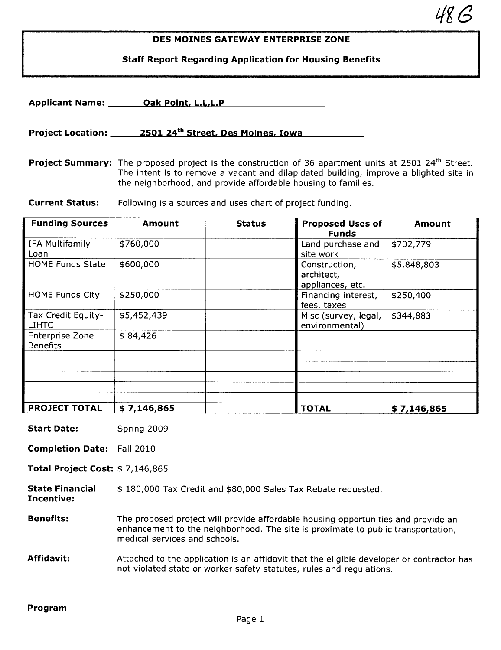## DES MOINES GATEWAY ENTERPRISE ZONE

 $48G$ 

Staff Report Regarding Application for Housing Benefits

|                                           | Applicant Name: Oak Point, L.L.L.P                                                                                                                                                                                                                                                |               |                                                 |             |  |  |  |
|-------------------------------------------|-----------------------------------------------------------------------------------------------------------------------------------------------------------------------------------------------------------------------------------------------------------------------------------|---------------|-------------------------------------------------|-------------|--|--|--|
|                                           | Project Location: 2501 24 <sup>th</sup> Street, Des Moines, Iowa                                                                                                                                                                                                                  |               |                                                 |             |  |  |  |
|                                           | <b>Project Summary:</b> The proposed project is the construction of 36 apartment units at 2501 24 <sup>th</sup> Street.<br>The intent is to remove a vacant and dilapidated building, improve a blighted site in<br>the neighborhood, and provide affordable housing to families. |               |                                                 |             |  |  |  |
| <b>Current Status:</b>                    | Following is a sources and uses chart of project funding.                                                                                                                                                                                                                         |               |                                                 |             |  |  |  |
| <b>Funding Sources</b>                    | <b>Amount</b>                                                                                                                                                                                                                                                                     | <b>Status</b> | <b>Proposed Uses of</b><br><b>Funds</b>         | Amount      |  |  |  |
| IFA Multifamily<br>Loan                   | \$760,000                                                                                                                                                                                                                                                                         |               | Land purchase and<br>site work                  | \$702,779   |  |  |  |
| <b>HOME Funds State</b>                   | \$600,000                                                                                                                                                                                                                                                                         |               | Construction,<br>architect,<br>appliances, etc. | \$5,848,803 |  |  |  |
| <b>HOME Funds City</b>                    | \$250,000                                                                                                                                                                                                                                                                         |               | Financing interest,<br>fees, taxes              | \$250,400   |  |  |  |
| Tax Credit Equity-<br><b>LIHTC</b>        | \$5,452,439                                                                                                                                                                                                                                                                       |               | Misc (survey, legal,<br>environmental)          | \$344,883   |  |  |  |
| <b>Enterprise Zone</b><br><b>Benefits</b> | \$84,426                                                                                                                                                                                                                                                                          |               |                                                 |             |  |  |  |
|                                           |                                                                                                                                                                                                                                                                                   |               |                                                 |             |  |  |  |

PROJECT TOTAL \$7,146,865 TOTAL \$7,146,865

Start Date: Spring 2009

Completion Date: Fall 2010

Total Project Cost: \$ 7,146,865

#### State Financial \$ 180,000 Tax Credit and \$80,000 Sales Tax Rebate requested.

Incentive:

**Benefits:** The proposed project will provide affordable housing opportunities and provide an enhancement to the neighborhood. The site is proximate to public transportation, medical services and schools.

## Affidavit: Attached to the application is an affidavit that the eligible developer or contractor has not violated state or worker safety statutes, rules and regulations.